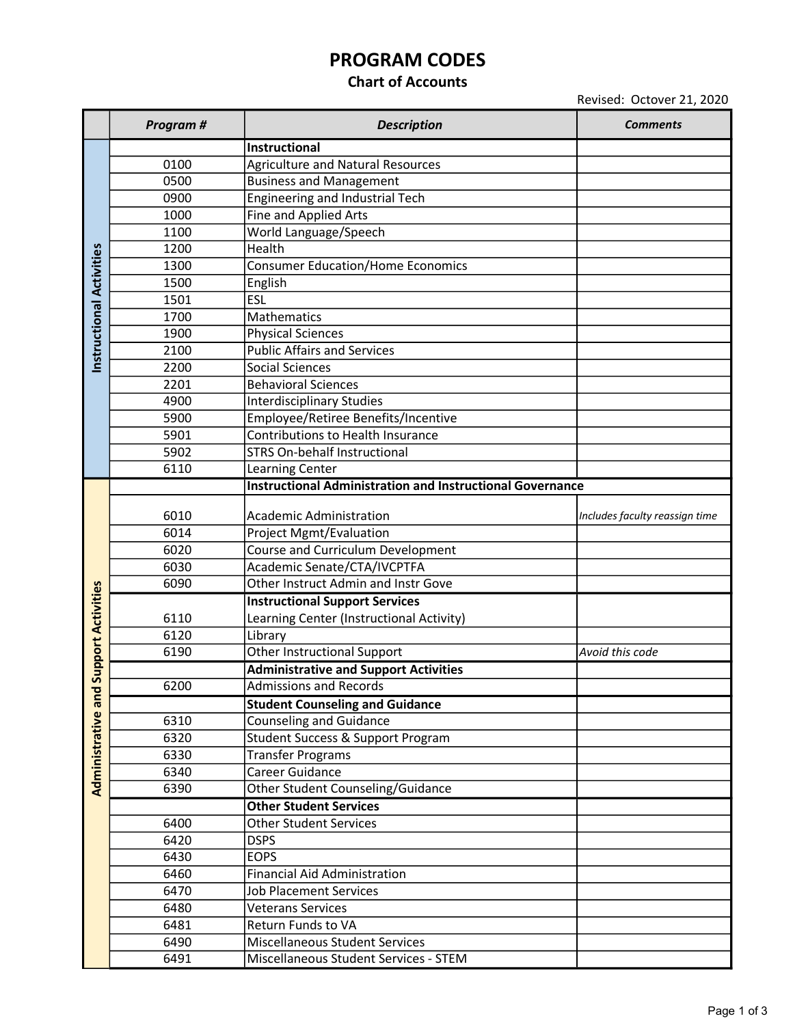# PROGRAM CODES

### Chart of Accounts

Revised: Octover 21, 2020

|                           | Program # | <b>Description</b>                                               | <b>Comments</b>                |
|---------------------------|-----------|------------------------------------------------------------------|--------------------------------|
|                           |           | Instructional                                                    |                                |
|                           | 0100      | <b>Agriculture and Natural Resources</b>                         |                                |
|                           | 0500      | <b>Business and Management</b>                                   |                                |
|                           | 0900      | <b>Engineering and Industrial Tech</b>                           |                                |
|                           | 1000      | Fine and Applied Arts                                            |                                |
|                           | 1100      | World Language/Speech                                            |                                |
|                           | 1200      | Health                                                           |                                |
|                           | 1300      | <b>Consumer Education/Home Economics</b>                         |                                |
|                           | 1500      | English                                                          |                                |
|                           | 1501      | ESL                                                              |                                |
| Instructional Activities  | 1700      | Mathematics                                                      |                                |
|                           | 1900      | <b>Physical Sciences</b>                                         |                                |
|                           | 2100      | <b>Public Affairs and Services</b>                               |                                |
|                           | 2200      | <b>Social Sciences</b>                                           |                                |
|                           | 2201      | <b>Behavioral Sciences</b>                                       |                                |
|                           | 4900      | <b>Interdisciplinary Studies</b>                                 |                                |
|                           | 5900      | Employee/Retiree Benefits/Incentive                              |                                |
|                           | 5901      | Contributions to Health Insurance                                |                                |
|                           | 5902      | <b>STRS On-behalf Instructional</b>                              |                                |
|                           | 6110      | Learning Center                                                  |                                |
|                           |           | <b>Instructional Administration and Instructional Governance</b> |                                |
|                           |           |                                                                  |                                |
|                           | 6010      | Academic Administration                                          | Includes faculty reassign time |
|                           | 6014      | Project Mgmt/Evaluation                                          |                                |
|                           | 6020      | Course and Curriculum Development                                |                                |
|                           | 6030      | Academic Senate/CTA/IVCPTFA                                      |                                |
|                           | 6090      | Other Instruct Admin and Instr Gove                              |                                |
| <b>Support Activities</b> |           | <b>Instructional Support Services</b>                            |                                |
|                           | 6110      | Learning Center (Instructional Activity)                         |                                |
|                           | 6120      | Library                                                          |                                |
|                           | 6190      | <b>Other Instructional Support</b>                               | Avoid this code                |
|                           |           | <b>Administrative and Support Activities</b>                     |                                |
|                           | 6200      | <b>Admissions and Records</b>                                    |                                |
| Administrative an         |           | <b>Student Counseling and Guidance</b>                           |                                |
|                           | 6310      | <b>Counseling and Guidance</b>                                   |                                |
|                           | 6320      | <b>Student Success &amp; Support Program</b>                     |                                |
|                           | 6330      | Transfer Programs                                                |                                |
|                           | 6340      | Career Guidance                                                  |                                |
|                           | 6390      | Other Student Counseling/Guidance                                |                                |
|                           |           | <b>Other Student Services</b>                                    |                                |
|                           | 6400      | <b>Other Student Services</b>                                    |                                |
|                           | 6420      | <b>DSPS</b>                                                      |                                |
|                           | 6430      | <b>EOPS</b>                                                      |                                |
|                           | 6460      | <b>Financial Aid Administration</b>                              |                                |
|                           | 6470      | <b>Job Placement Services</b>                                    |                                |
|                           | 6480      | <b>Veterans Services</b>                                         |                                |
|                           | 6481      | Return Funds to VA                                               |                                |
|                           | 6490      | Miscellaneous Student Services                                   |                                |
|                           | 6491      | Miscellaneous Student Services - STEM                            |                                |
|                           |           |                                                                  |                                |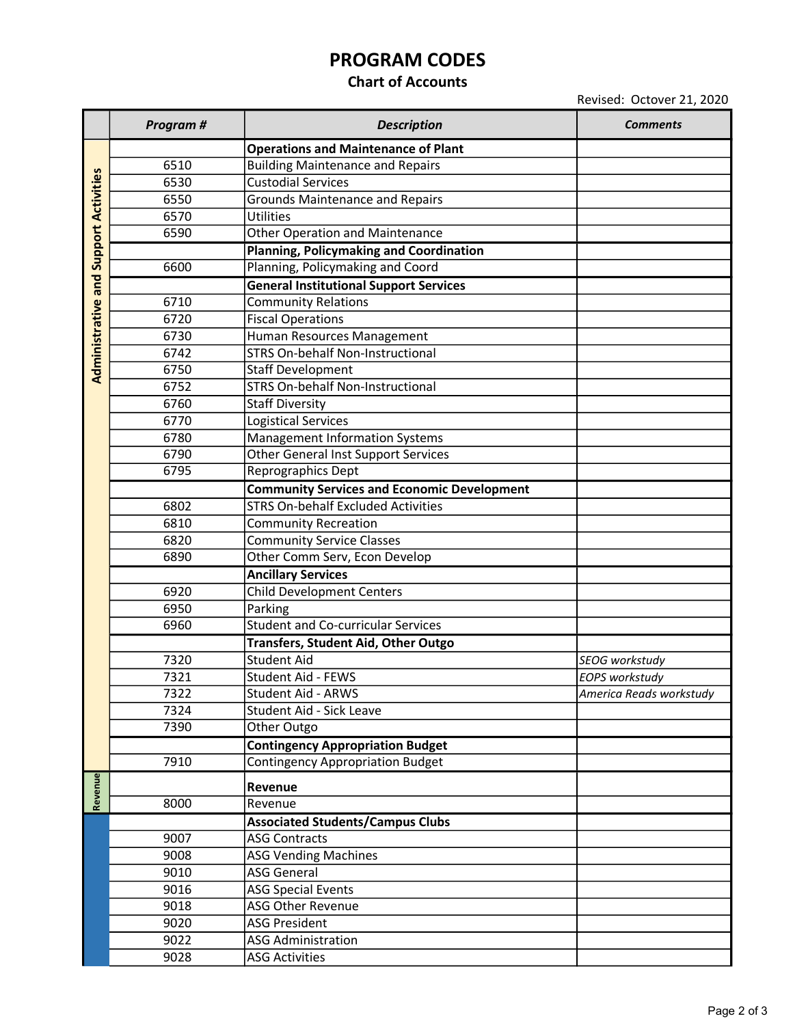## PROGRAM CODES

#### Chart of Accounts

Revised: Octover 21, 2020

|                           | Program # | <b>Description</b>                                 | <b>Comments</b>         |
|---------------------------|-----------|----------------------------------------------------|-------------------------|
|                           |           | <b>Operations and Maintenance of Plant</b>         |                         |
| <b>Support Activities</b> | 6510      | <b>Building Maintenance and Repairs</b>            |                         |
|                           | 6530      | <b>Custodial Services</b>                          |                         |
|                           | 6550      | <b>Grounds Maintenance and Repairs</b>             |                         |
|                           | 6570      | <b>Utilities</b>                                   |                         |
|                           | 6590      | <b>Other Operation and Maintenance</b>             |                         |
|                           |           | <b>Planning, Policymaking and Coordination</b>     |                         |
|                           | 6600      | Planning, Policymaking and Coord                   |                         |
| Administrative and        |           | <b>General Institutional Support Services</b>      |                         |
|                           | 6710      | <b>Community Relations</b>                         |                         |
|                           | 6720      | <b>Fiscal Operations</b>                           |                         |
|                           | 6730      | Human Resources Management                         |                         |
|                           | 6742      | <b>STRS On-behalf Non-Instructional</b>            |                         |
|                           | 6750      | <b>Staff Development</b>                           |                         |
|                           | 6752      | <b>STRS On-behalf Non-Instructional</b>            |                         |
|                           | 6760      | <b>Staff Diversity</b>                             |                         |
|                           | 6770      | <b>Logistical Services</b>                         |                         |
|                           | 6780      | Management Information Systems                     |                         |
|                           | 6790      | Other General Inst Support Services                |                         |
|                           | 6795      | Reprographics Dept                                 |                         |
|                           |           | <b>Community Services and Economic Development</b> |                         |
|                           | 6802      | <b>STRS On-behalf Excluded Activities</b>          |                         |
|                           | 6810      | <b>Community Recreation</b>                        |                         |
|                           | 6820      | <b>Community Service Classes</b>                   |                         |
|                           | 6890      | Other Comm Serv, Econ Develop                      |                         |
|                           |           | <b>Ancillary Services</b>                          |                         |
|                           | 6920      | <b>Child Development Centers</b>                   |                         |
|                           | 6950      | Parking                                            |                         |
|                           | 6960      | <b>Student and Co-curricular Services</b>          |                         |
|                           |           | Transfers, Student Aid, Other Outgo                |                         |
|                           | 7320      | <b>Student Aid</b>                                 | SEOG workstudy          |
|                           | 7321      | Student Aid - FEWS                                 | <b>EOPS workstudy</b>   |
|                           | 7322      | Student Aid - ARWS                                 | America Reads workstudy |
|                           | 7324      | Student Aid - Sick Leave                           |                         |
|                           | 7390      | Other Outgo                                        |                         |
|                           |           | <b>Contingency Appropriation Budget</b>            |                         |
|                           | 7910      | <b>Contingency Appropriation Budget</b>            |                         |
| Revenue                   |           | Revenue                                            |                         |
|                           | 8000      | Revenue                                            |                         |
|                           |           | <b>Associated Students/Campus Clubs</b>            |                         |
|                           | 9007      | <b>ASG Contracts</b>                               |                         |
|                           | 9008      | <b>ASG Vending Machines</b>                        |                         |
|                           | 9010      | <b>ASG General</b>                                 |                         |
|                           | 9016      | <b>ASG Special Events</b>                          |                         |
|                           | 9018      | <b>ASG Other Revenue</b>                           |                         |
|                           | 9020      | <b>ASG President</b>                               |                         |
|                           | 9022      | <b>ASG Administration</b>                          |                         |
|                           | 9028      | <b>ASG Activities</b>                              |                         |